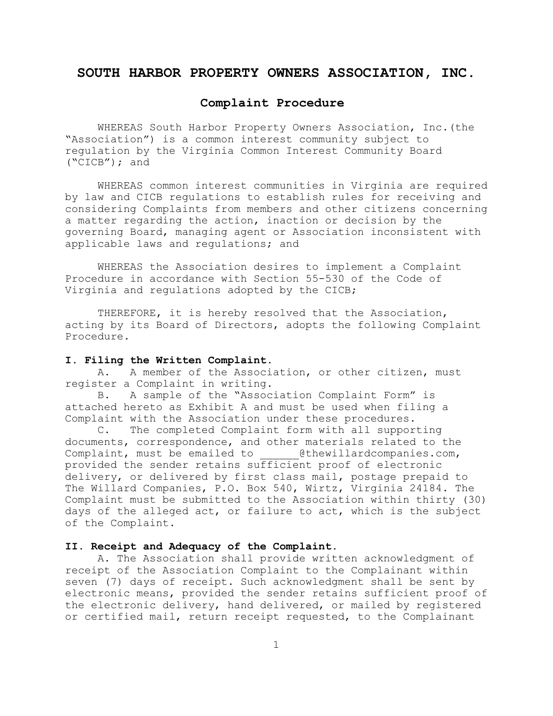# **SOUTH HARBOR PROPERTY OWNERS ASSOCIATION, INC.**

### **Complaint Procedure**

WHEREAS South Harbor Property Owners Association, Inc.(the "Association") is a common interest community subject to regulation by the Virginia Common Interest Community Board ("CICB"); and

WHEREAS common interest communities in Virginia are required by law and CICB regulations to establish rules for receiving and considering Complaints from members and other citizens concerning a matter regarding the action, inaction or decision by the governing Board, managing agent or Association inconsistent with applicable laws and regulations; and

WHEREAS the Association desires to implement a Complaint Procedure in accordance with Section 55-530 of the Code of Virginia and regulations adopted by the CICB;

THEREFORE, it is hereby resolved that the Association, acting by its Board of Directors, adopts the following Complaint Procedure.

### **I. Filing the Written Complaint.**

A. A member of the Association, or other citizen, must register a Complaint in writing.

B. A sample of the "Association Complaint Form" is attached hereto as Exhibit A and must be used when filing a Complaint with the Association under these procedures.

C. The completed Complaint form with all supporting documents, correspondence, and other materials related to the Complaint, must be emailed to ethewillardcompanies.com, provided the sender retains sufficient proof of electronic delivery, or delivered by first class mail, postage prepaid to The Willard Companies, P.O. Box 540, Wirtz, Virginia 24184. The Complaint must be submitted to the Association within thirty (30) days of the alleged act, or failure to act, which is the subject of the Complaint.

### **II. Receipt and Adequacy of the Complaint.**

A. The Association shall provide written acknowledgment of receipt of the Association Complaint to the Complainant within seven (7) days of receipt. Such acknowledgment shall be sent by electronic means, provided the sender retains sufficient proof of the electronic delivery, hand delivered, or mailed by registered or certified mail, return receipt requested, to the Complainant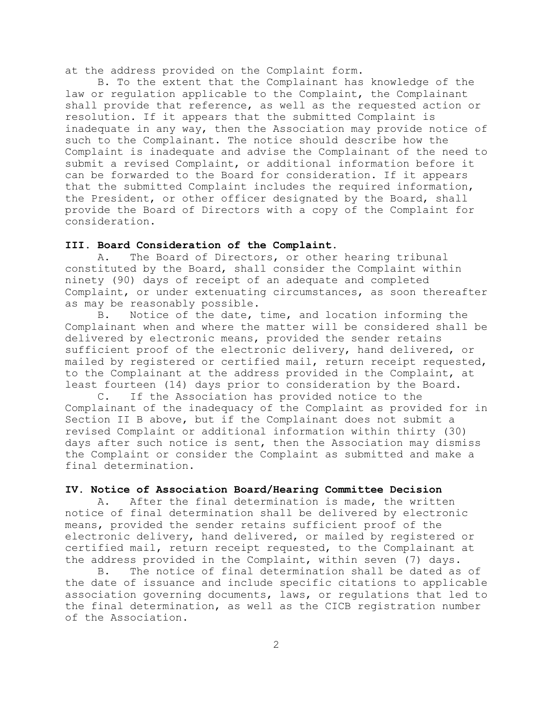at the address provided on the Complaint form.

B. To the extent that the Complainant has knowledge of the law or regulation applicable to the Complaint, the Complainant shall provide that reference, as well as the requested action or resolution. If it appears that the submitted Complaint is inadequate in any way, then the Association may provide notice of such to the Complainant. The notice should describe how the Complaint is inadequate and advise the Complainant of the need to submit a revised Complaint, or additional information before it can be forwarded to the Board for consideration. If it appears that the submitted Complaint includes the required information, the President, or other officer designated by the Board, shall provide the Board of Directors with a copy of the Complaint for consideration.

### **III. Board Consideration of the Complaint.**

A. The Board of Directors, or other hearing tribunal constituted by the Board, shall consider the Complaint within ninety (90) days of receipt of an adequate and completed Complaint, or under extenuating circumstances, as soon thereafter as may be reasonably possible.

B. Notice of the date, time, and location informing the Complainant when and where the matter will be considered shall be delivered by electronic means, provided the sender retains sufficient proof of the electronic delivery, hand delivered, or mailed by registered or certified mail, return receipt requested, to the Complainant at the address provided in the Complaint, at least fourteen (14) days prior to consideration by the Board.

C. If the Association has provided notice to the Complainant of the inadequacy of the Complaint as provided for in Section II B above, but if the Complainant does not submit a revised Complaint or additional information within thirty (30) days after such notice is sent, then the Association may dismiss the Complaint or consider the Complaint as submitted and make a final determination.

### **IV. Notice of Association Board/Hearing Committee Decision**

A. After the final determination is made, the written notice of final determination shall be delivered by electronic means, provided the sender retains sufficient proof of the electronic delivery, hand delivered, or mailed by registered or certified mail, return receipt requested, to the Complainant at the address provided in the Complaint, within seven (7) days.

B. The notice of final determination shall be dated as of the date of issuance and include specific citations to applicable association governing documents, laws, or regulations that led to the final determination, as well as the CICB registration number of the Association.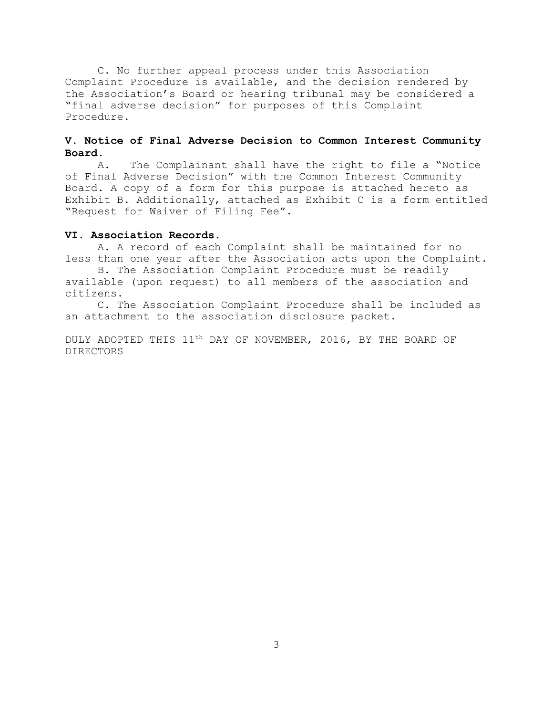C. No further appeal process under this Association Complaint Procedure is available, and the decision rendered by the Association's Board or hearing tribunal may be considered a "final adverse decision" for purposes of this Complaint Procedure.

# **V. Notice of Final Adverse Decision to Common Interest Community Board.**

A. The Complainant shall have the right to file a "Notice of Final Adverse Decision" with the Common Interest Community Board. A copy of a form for this purpose is attached hereto as Exhibit B. Additionally, attached as Exhibit C is a form entitled "Request for Waiver of Filing Fee".

### **VI. Association Records.**

A. A record of each Complaint shall be maintained for no less than one year after the Association acts upon the Complaint.

B. The Association Complaint Procedure must be readily available (upon request) to all members of the association and citizens.

C. The Association Complaint Procedure shall be included as an attachment to the association disclosure packet.

DULY ADOPTED THIS 11<sup>th</sup> DAY OF NOVEMBER, 2016, BY THE BOARD OF DIRECTORS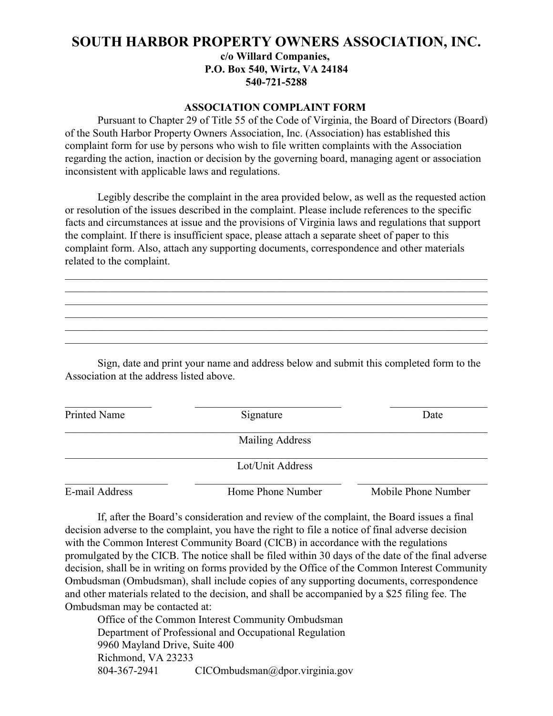# **SOUTH HARBOR PROPERTY OWNERS ASSOCIATION, INC. c/o Willard Companies, P.O. Box 540, Wirtz, VA 24184 540-721-5288**

### **ASSOCIATION COMPLAINT FORM**

Pursuant to Chapter 29 of Title 55 of the Code of Virginia, the Board of Directors (Board) of the South Harbor Property Owners Association, Inc. (Association) has established this complaint form for use by persons who wish to file written complaints with the Association regarding the action, inaction or decision by the governing board, managing agent or association inconsistent with applicable laws and regulations.

Legibly describe the complaint in the area provided below, as well as the requested action or resolution of the issues described in the complaint. Please include references to the specific facts and circumstances at issue and the provisions of Virginia laws and regulations that support the complaint. If there is insufficient space, please attach a separate sheet of paper to this complaint form. Also, attach any supporting documents, correspondence and other materials related to the complaint.

\_\_\_\_\_\_\_\_\_\_\_\_\_\_\_\_\_\_\_\_\_\_\_\_\_\_\_\_\_\_\_\_\_\_\_\_\_\_\_\_\_\_\_\_\_\_\_\_\_\_\_\_\_\_\_\_\_\_\_\_\_\_\_\_\_\_\_\_\_\_\_\_\_\_\_\_\_\_ \_\_\_\_\_\_\_\_\_\_\_\_\_\_\_\_\_\_\_\_\_\_\_\_\_\_\_\_\_\_\_\_\_\_\_\_\_\_\_\_\_\_\_\_\_\_\_\_\_\_\_\_\_\_\_\_\_\_\_\_\_\_\_\_\_\_\_\_\_\_\_\_\_\_\_\_\_\_ \_\_\_\_\_\_\_\_\_\_\_\_\_\_\_\_\_\_\_\_\_\_\_\_\_\_\_\_\_\_\_\_\_\_\_\_\_\_\_\_\_\_\_\_\_\_\_\_\_\_\_\_\_\_\_\_\_\_\_\_\_\_\_\_\_\_\_\_\_\_\_\_\_\_\_\_\_\_ \_\_\_\_\_\_\_\_\_\_\_\_\_\_\_\_\_\_\_\_\_\_\_\_\_\_\_\_\_\_\_\_\_\_\_\_\_\_\_\_\_\_\_\_\_\_\_\_\_\_\_\_\_\_\_\_\_\_\_\_\_\_\_\_\_\_\_\_\_\_\_\_\_\_\_\_\_\_ \_\_\_\_\_\_\_\_\_\_\_\_\_\_\_\_\_\_\_\_\_\_\_\_\_\_\_\_\_\_\_\_\_\_\_\_\_\_\_\_\_\_\_\_\_\_\_\_\_\_\_\_\_\_\_\_\_\_\_\_\_\_\_\_\_\_\_\_\_\_\_\_\_\_\_\_\_\_ \_\_\_\_\_\_\_\_\_\_\_\_\_\_\_\_\_\_\_\_\_\_\_\_\_\_\_\_\_\_\_\_\_\_\_\_\_\_\_\_\_\_\_\_\_\_\_\_\_\_\_\_\_\_\_\_\_\_\_\_\_\_\_\_\_\_\_\_\_\_\_\_\_\_\_\_\_\_

Sign, date and print your name and address below and submit this completed form to the Association at the address listed above.

| Printed Name   | Signature              | Date                |
|----------------|------------------------|---------------------|
|                | <b>Mailing Address</b> |                     |
|                | Lot/Unit Address       |                     |
| E-mail Address | Home Phone Number      | Mobile Phone Number |

If, after the Board's consideration and review of the complaint, the Board issues a final decision adverse to the complaint, you have the right to file a notice of final adverse decision with the Common Interest Community Board (CICB) in accordance with the regulations promulgated by the CICB. The notice shall be filed within 30 days of the date of the final adverse decision, shall be in writing on forms provided by the Office of the Common Interest Community Ombudsman (Ombudsman), shall include copies of any supporting documents, correspondence and other materials related to the decision, and shall be accompanied by a \$25 filing fee. The Ombudsman may be contacted at:

Office of the Common Interest Community Ombudsman Department of Professional and Occupational Regulation 9960 Mayland Drive, Suite 400 Richmond, VA 23233 804-367-2941 CICOmbudsman@dpor.virginia.gov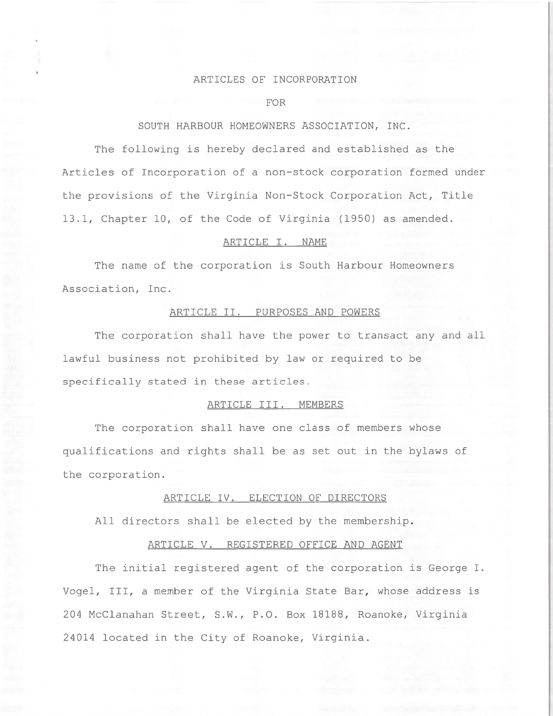### ARTICLES OF INCORPORATION

#### FOR

### SOUTH HARBOUR HOMEOWNERS ASSOCIATION, INC.

The following is hereby declared and established as the Articles of Incorporation of a non-stock corporation formed under the provisions of the Virginia Non-Stock Corporation Act, Title 13.1, Chapter 10, of the Code of Virginia (1950) as amended.

### ARTICLE I. NAME

The name of the corporation is South Harbour Homeowners Association, Inc.

### ARTICLE II. PURPOSES AND POWERS

The corporation shall have the power to transact any and all lawful business not prohibited by law or required to be specifically stated in these articles.

# ARTICLE III. MEMBERS

The corporation shall have one class of members whose qualifications and rights shall be as set out in the bylaws of the corporation.

# ARTICLE IV. ELECTION OF DIRECTORS

All directors shall be elected by the membership.

#### ARTICLE V. REGISTERED OFFICE AND AGENT

The initial registered agent of the corporation is George I. Vogel, III, a member of the Virginia State Bar, whose address is 204 McClanahan Street, S.W., P.O. Box 18188, Roanoke, Virginia 24014 located in the City of Roanoke, Virginia.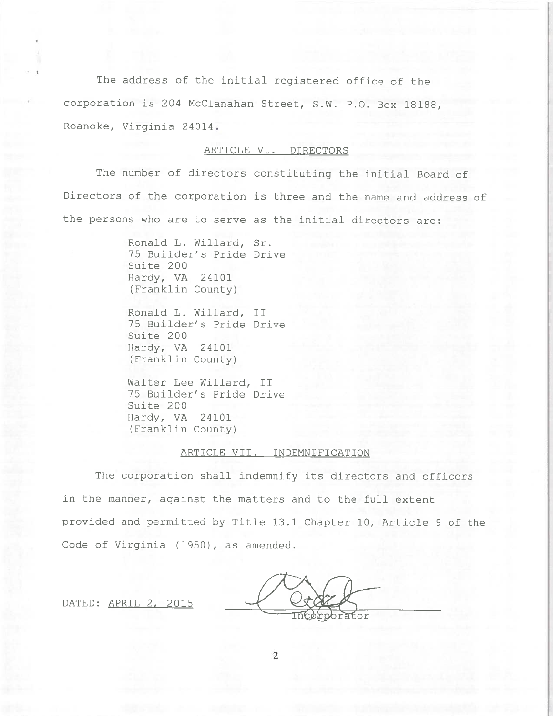The address of the initial registered office of the corporation is 204 McClanahan Street, S.W. P.O. Box 18188, Roanoke, Virginia 24014.

### ARTICLE VI. DIRECTORS

The number of directors constituting the initial Board of Directors of the corporation is three and the name and address of the persons who are to serve as the initial directors are:

> Ronald L. Willard, Sr. 75 Builder's Pride Drive Suite 200 Hardy, VA 24101 (Franklin County)

Ronald L. Willard, II 75 Builder's Pride Drive Suite 200 Hardy, VA 24101 (Franklin County)

Walter Lee Willard, II 75 Builder's Pride Drive Suite 200 Hardy, VA 24101 (Franklin County)

### ARTICLE VII. INDEMNIFICATION

The corporation shall indemnify its directors and officers in the manner, against the matters and to the full extent provided and permitted by Title 13.1 Chapter 10, Article 9 of the Code of Virginia (1950), as amended.

DATED: APRIL 2, 2015

ťor

 $\overline{2}$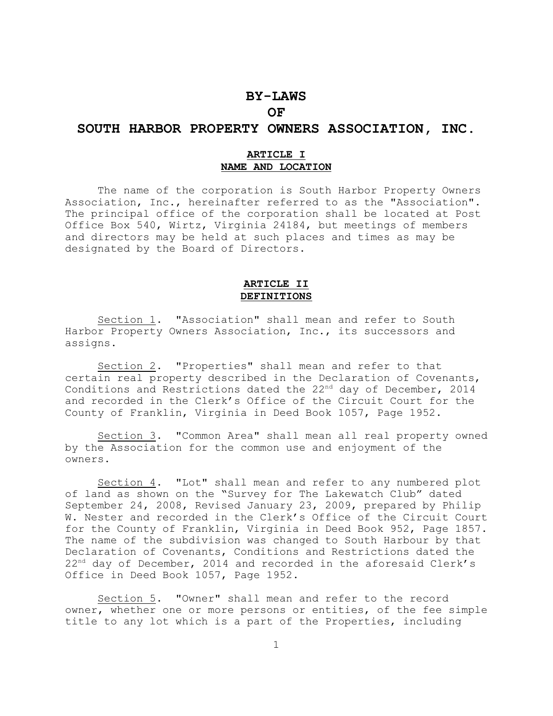# **BY-LAWS OF**

# **SOUTH HARBOR PROPERTY OWNERS ASSOCIATION, INC.**

### **ARTICLE I NAME AND LOCATION**

The name of the corporation is South Harbor Property Owners Association, Inc., hereinafter referred to as the "Association". The principal office of the corporation shall be located at Post Office Box 540, Wirtz, Virginia 24184, but meetings of members and directors may be held at such places and times as may be designated by the Board of Directors.

### **ARTICLE II DEFINITIONS**

Section 1. "Association" shall mean and refer to South Harbor Property Owners Association, Inc., its successors and assigns.

Section 2. "Properties" shall mean and refer to that certain real property described in the Declaration of Covenants, Conditions and Restrictions dated the  $22<sup>nd</sup>$  day of December, 2014 and recorded in the Clerk's Office of the Circuit Court for the County of Franklin, Virginia in Deed Book 1057, Page 1952.

Section 3. "Common Area" shall mean all real property owned by the Association for the common use and enjoyment of the owners.

Section 4. "Lot" shall mean and refer to any numbered plot of land as shown on the "Survey for The Lakewatch Club" dated September 24, 2008, Revised January 23, 2009, prepared by Philip W. Nester and recorded in the Clerk's Office of the Circuit Court for the County of Franklin, Virginia in Deed Book 952, Page 1857. The name of the subdivision was changed to South Harbour by that Declaration of Covenants, Conditions and Restrictions dated the  $22<sup>nd</sup>$  day of December, 2014 and recorded in the aforesaid Clerk's Office in Deed Book 1057, Page 1952.

Section 5. "Owner" shall mean and refer to the record owner, whether one or more persons or entities, of the fee simple title to any lot which is a part of the Properties, including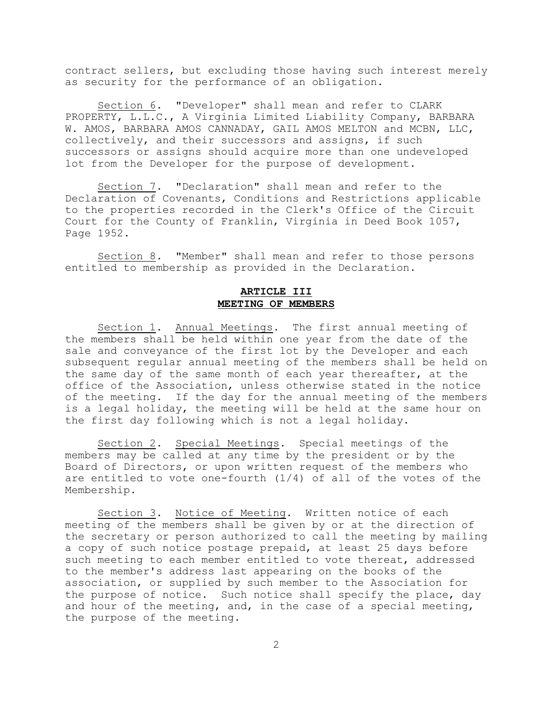contract sellers, but excluding those having such interest merely as security for the performance of an obligation.

Section 6. "Developer" shall mean and refer to CLARK PROPERTY, L.L.C., A Virginia Limited Liability Company, BARBARA W. AMOS, BARBARA AMOS CANNADAY, GAIL AMOS MELTON and MCBN, LLC, collectively, and their successors and assigns, if such successors or assigns should acquire more than one undeveloped lot from the Developer for the purpose of development.

Section 7. "Declaration" shall mean and refer to the Declaration of Covenants, Conditions and Restrictions applicable to the properties recorded in the Clerk's Office of the Circuit Court for the County of Franklin, Virginia in Deed Book 1057, Page 1952.

Section 8. "Member" shall mean and refer to those persons entitled to membership as provided in the Declaration.

# **ARTICLE III MEETING OF MEMBERS**

Section 1. Annual Meetings. The first annual meeting of the members shall be held within one year from the date of the sale and conveyance of the first lot by the Developer and each subsequent regular annual meeting of the members shall be held on the same day of the same month of each year thereafter, at the office of the Association, unless otherwise stated in the notice of the meeting. If the day for the annual meeting of the members is a legal holiday, the meeting will be held at the same hour on the first day following which is not a legal holiday.

Section 2. Special Meetings. Special meetings of the members may be called at any time by the president or by the Board of Directors, or upon written request of the members who are entitled to vote one-fourth (1/4) of all of the votes of the Membership.

Section 3. Notice of Meeting. Written notice of each meeting of the members shall be given by or at the direction of the secretary or person authorized to call the meeting by mailing a copy of such notice postage prepaid, at least 25 days before such meeting to each member entitled to vote thereat, addressed to the member's address last appearing on the books of the association, or supplied by such member to the Association for the purpose of notice. Such notice shall specify the place, day and hour of the meeting, and, in the case of a special meeting, the purpose of the meeting.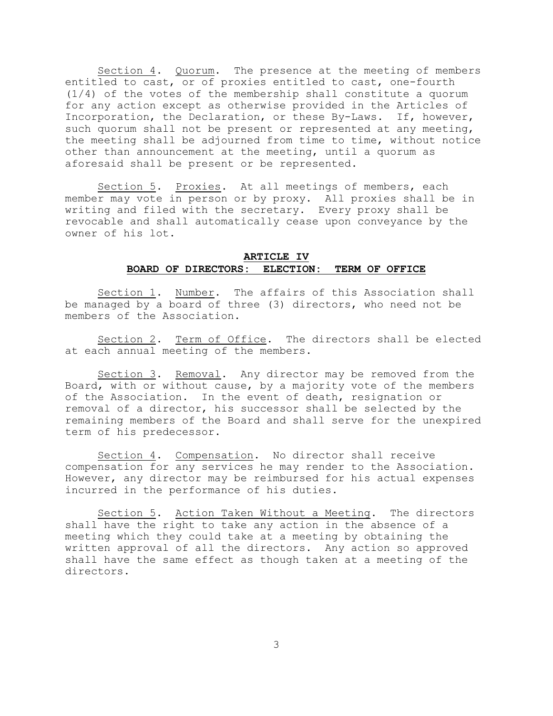Section  $4$ . Quorum. The presence at the meeting of members entitled to cast, or of proxies entitled to cast, one-fourth (1/4) of the votes of the membership shall constitute a quorum for any action except as otherwise provided in the Articles of Incorporation, the Declaration, or these By-Laws. If, however, such quorum shall not be present or represented at any meeting, the meeting shall be adjourned from time to time, without notice other than announcement at the meeting, until a quorum as aforesaid shall be present or be represented.

Section 5. Proxies. At all meetings of members, each member may vote in person or by proxy. All proxies shall be in writing and filed with the secretary. Every proxy shall be revocable and shall automatically cease upon conveyance by the owner of his lot.

### **ARTICLE IV BOARD OF DIRECTORS: ELECTION: TERM OF OFFICE**

Section 1. Number. The affairs of this Association shall be managed by a board of three (3) directors, who need not be members of the Association.

Section 2. Term of Office. The directors shall be elected at each annual meeting of the members.

Section 3. Removal. Any director may be removed from the Board, with or without cause, by a majority vote of the members of the Association. In the event of death, resignation or removal of a director, his successor shall be selected by the remaining members of the Board and shall serve for the unexpired term of his predecessor.

Section 4. Compensation. No director shall receive compensation for any services he may render to the Association. However, any director may be reimbursed for his actual expenses incurred in the performance of his duties.

Section 5. Action Taken Without a Meeting. The directors shall have the right to take any action in the absence of a meeting which they could take at a meeting by obtaining the written approval of all the directors. Any action so approved shall have the same effect as though taken at a meeting of the directors.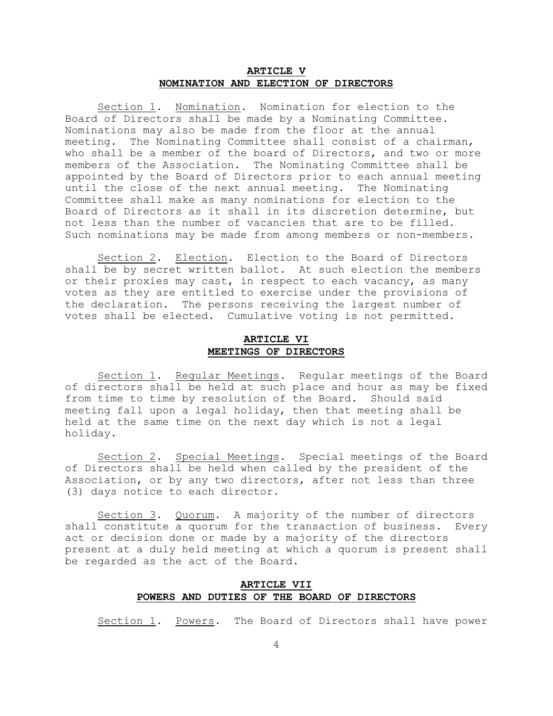### **ARTICLE V NOMINATION AND ELECTION OF DIRECTORS**

Section 1. Nomination. Nomination for election to the Board of Directors shall be made by a Nominating Committee. Nominations may also be made from the floor at the annual meeting. The Nominating Committee shall consist of a chairman, who shall be a member of the board of Directors, and two or more members of the Association. The Nominating Committee shall be appointed by the Board of Directors prior to each annual meeting until the close of the next annual meeting. The Nominating Committee shall make as many nominations for election to the Board of Directors as it shall in its discretion determine, but not less than the number of vacancies that are to be filled. Such nominations may be made from among members or non-members.

Section 2. Election. Election to the Board of Directors shall be by secret written ballot. At such election the members or their proxies may cast, in respect to each vacancy, as many votes as they are entitled to exercise under the provisions of the declaration. The persons receiving the largest number of votes shall be elected. Cumulative voting is not permitted.

# **ARTICLE VI MEETINGS OF DIRECTORS**

Section 1. Regular Meetings. Regular meetings of the Board of directors shall be held at such place and hour as may be fixed from time to time by resolution of the Board. Should said meeting fall upon a legal holiday, then that meeting shall be held at the same time on the next day which is not a legal holiday.

Section 2. Special Meetings. Special meetings of the Board of Directors shall be held when called by the president of the Association, or by any two directors, after not less than three (3) days notice to each director.

Section 3. Quorum. A majority of the number of directors shall constitute a quorum for the transaction of business. Every act or decision done or made by a majority of the directors present at a duly held meeting at which a quorum is present shall be regarded as the act of the Board.

### **ARTICLE VII POWERS AND DUTIES OF THE BOARD OF DIRECTORS**

Section 1. Powers. The Board of Directors shall have power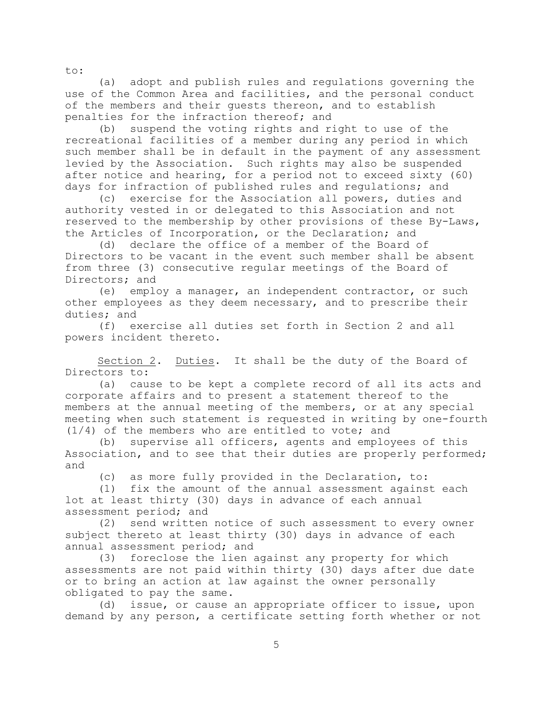(a) adopt and publish rules and regulations governing the use of the Common Area and facilities, and the personal conduct of the members and their guests thereon, and to establish penalties for the infraction thereof; and

(b) suspend the voting rights and right to use of the recreational facilities of a member during any period in which such member shall be in default in the payment of any assessment levied by the Association. Such rights may also be suspended after notice and hearing, for a period not to exceed sixty (60) days for infraction of published rules and regulations; and

(c) exercise for the Association all powers, duties and authority vested in or delegated to this Association and not reserved to the membership by other provisions of these By-Laws, the Articles of Incorporation, or the Declaration; and

(d) declare the office of a member of the Board of Directors to be vacant in the event such member shall be absent from three (3) consecutive regular meetings of the Board of Directors; and

(e) employ a manager, an independent contractor, or such other employees as they deem necessary, and to prescribe their duties; and

(f) exercise all duties set forth in Section 2 and all powers incident thereto.

Section 2. Duties. It shall be the duty of the Board of Directors to:

(a) cause to be kept a complete record of all its acts and corporate affairs and to present a statement thereof to the members at the annual meeting of the members, or at any special meeting when such statement is requested in writing by one-fourth (1/4) of the members who are entitled to vote; and

(b) supervise all officers, agents and employees of this Association, and to see that their duties are properly performed; and

(c) as more fully provided in the Declaration, to:

(1) fix the amount of the annual assessment against each lot at least thirty (30) days in advance of each annual assessment period; and

(2) send written notice of such assessment to every owner subject thereto at least thirty (30) days in advance of each annual assessment period; and

(3) foreclose the lien against any property for which assessments are not paid within thirty (30) days after due date or to bring an action at law against the owner personally obligated to pay the same.

(d) issue, or cause an appropriate officer to issue, upon demand by any person, a certificate setting forth whether or not

to: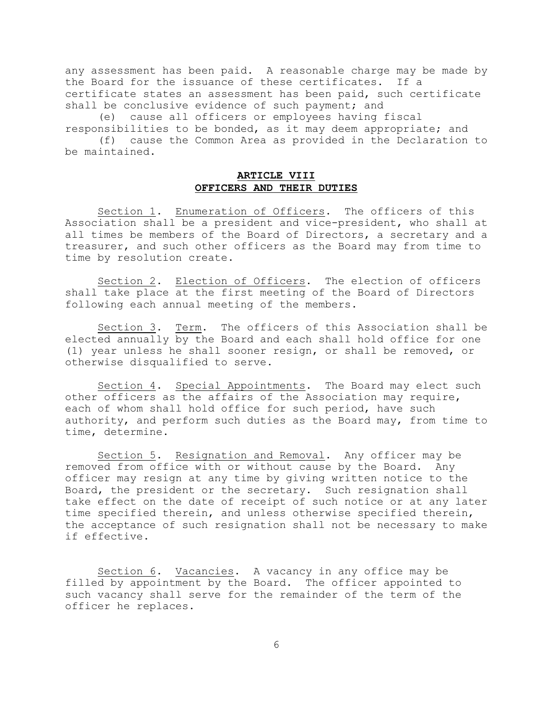any assessment has been paid. A reasonable charge may be made by the Board for the issuance of these certificates. If a certificate states an assessment has been paid, such certificate shall be conclusive evidence of such payment; and

(e) cause all officers or employees having fiscal responsibilities to be bonded, as it may deem appropriate; and

(f) cause the Common Area as provided in the Declaration to be maintained.

# **ARTICLE VIII OFFICERS AND THEIR DUTIES**

Section 1. Enumeration of Officers. The officers of this Association shall be a president and vice-president, who shall at all times be members of the Board of Directors, a secretary and a treasurer, and such other officers as the Board may from time to time by resolution create.

Section 2. Election of Officers. The election of officers shall take place at the first meeting of the Board of Directors following each annual meeting of the members.

Section 3. Term. The officers of this Association shall be elected annually by the Board and each shall hold office for one (1) year unless he shall sooner resign, or shall be removed, or otherwise disqualified to serve.

Section 4. Special Appointments. The Board may elect such other officers as the affairs of the Association may require, each of whom shall hold office for such period, have such authority, and perform such duties as the Board may, from time to time, determine.

Section 5. Resignation and Removal. Any officer may be removed from office with or without cause by the Board. Any officer may resign at any time by giving written notice to the Board, the president or the secretary. Such resignation shall take effect on the date of receipt of such notice or at any later time specified therein, and unless otherwise specified therein, the acceptance of such resignation shall not be necessary to make if effective.

Section 6. Vacancies. A vacancy in any office may be filled by appointment by the Board. The officer appointed to such vacancy shall serve for the remainder of the term of the officer he replaces.

6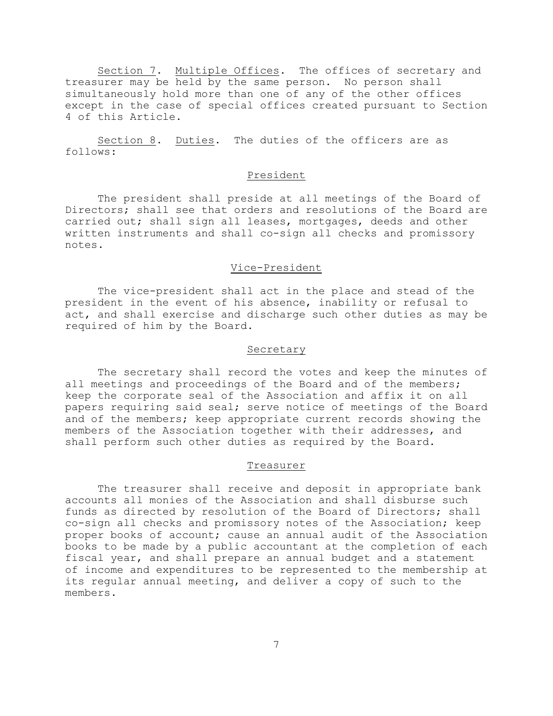Section 7. Multiple Offices. The offices of secretary and treasurer may be held by the same person. No person shall simultaneously hold more than one of any of the other offices except in the case of special offices created pursuant to Section 4 of this Article.

Section 8. Duties. The duties of the officers are as follows:

### President

The president shall preside at all meetings of the Board of Directors; shall see that orders and resolutions of the Board are carried out; shall sign all leases, mortgages, deeds and other written instruments and shall co-sign all checks and promissory notes.

### Vice-President

The vice-president shall act in the place and stead of the president in the event of his absence, inability or refusal to act, and shall exercise and discharge such other duties as may be required of him by the Board.

### Secretary

The secretary shall record the votes and keep the minutes of all meetings and proceedings of the Board and of the members; keep the corporate seal of the Association and affix it on all papers requiring said seal; serve notice of meetings of the Board and of the members; keep appropriate current records showing the members of the Association together with their addresses, and shall perform such other duties as required by the Board.

#### Treasurer

The treasurer shall receive and deposit in appropriate bank accounts all monies of the Association and shall disburse such funds as directed by resolution of the Board of Directors; shall co-sign all checks and promissory notes of the Association; keep proper books of account; cause an annual audit of the Association books to be made by a public accountant at the completion of each fiscal year, and shall prepare an annual budget and a statement of income and expenditures to be represented to the membership at its regular annual meeting, and deliver a copy of such to the members.

7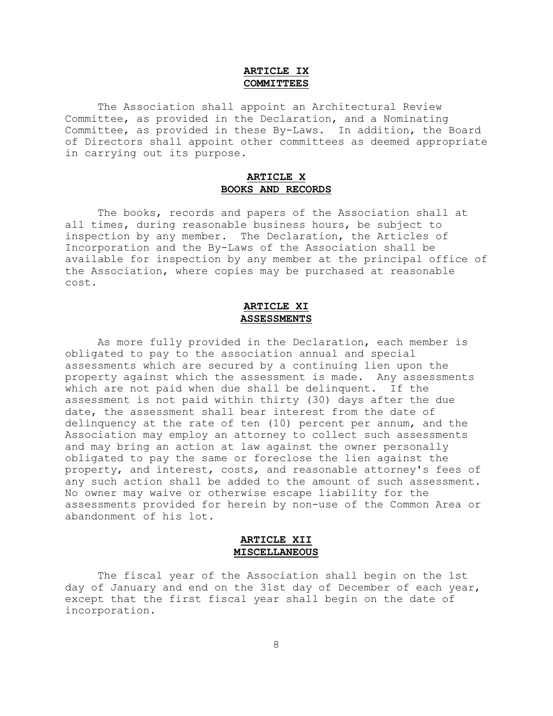# **ARTICLE IX COMMITTEES**

The Association shall appoint an Architectural Review Committee, as provided in the Declaration, and a Nominating Committee, as provided in these By-Laws. In addition, the Board of Directors shall appoint other committees as deemed appropriate in carrying out its purpose.

# **ARTICLE X BOOKS AND RECORDS**

The books, records and papers of the Association shall at all times, during reasonable business hours, be subject to inspection by any member. The Declaration, the Articles of Incorporation and the By-Laws of the Association shall be available for inspection by any member at the principal office of the Association, where copies may be purchased at reasonable cost.

# **ARTICLE XI ASSESSMENTS**

As more fully provided in the Declaration, each member is obligated to pay to the association annual and special assessments which are secured by a continuing lien upon the property against which the assessment is made. Any assessments which are not paid when due shall be delinquent. If the assessment is not paid within thirty (30) days after the due date, the assessment shall bear interest from the date of delinquency at the rate of ten (10) percent per annum, and the Association may employ an attorney to collect such assessments and may bring an action at law against the owner personally obligated to pay the same or foreclose the lien against the property, and interest, costs, and reasonable attorney's fees of any such action shall be added to the amount of such assessment. No owner may waive or otherwise escape liability for the assessments provided for herein by non-use of the Common Area or abandonment of his lot.

### **ARTICLE XII MISCELLANEOUS**

The fiscal year of the Association shall begin on the 1st day of January and end on the 31st day of December of each year, except that the first fiscal year shall begin on the date of incorporation.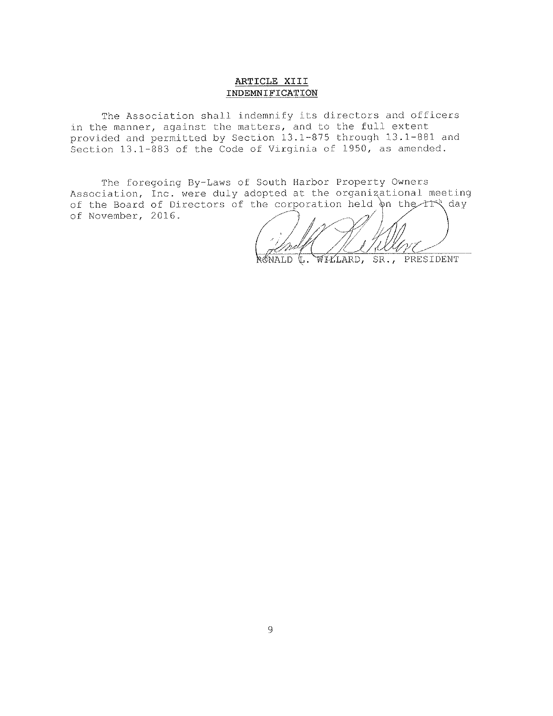# ARTICLE XIII INDEMNIFICATION

The Association shall indemnify its directors and officers in the manner, against the matters, and to the full extent provided and permitted by Section 13.1-875 through 13.1-881 and Section 13.1-883 of the Code of Virginia of 1950, as amended.

The foregoing By-Laws of South Harbor Property Owners Association, Inc. were duly adopted at the organizational meeting of the Board of Directors of the corporation held on the 11th day of November, 2016.

 $R$ MALD WILLARD, SR., PRESIDENT  $\mathbb{C}$ .